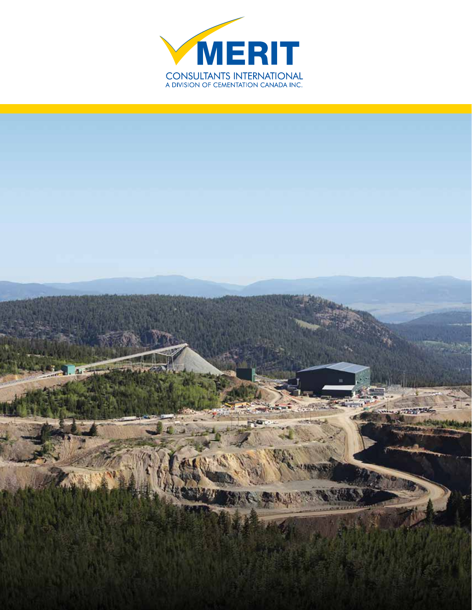

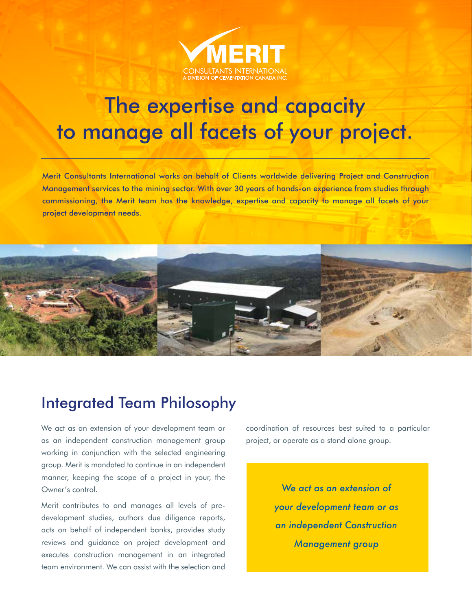

# The expertise and capacity to manage all facets of your project.

Merit Consultants International works on behalf of Clients worldwide delivering Project and Construction Management services to the mining sector. With over 30 years of hands-on experience from studies through commissioning, the Merit team has the knowledge, expertise and capacity to manage all facets of your project development needs.



### Integrated Team Philosophy

We act as an extension of your development team or as an independent construction management group working in conjunction with the selected engineering group. Merit is mandated to continue in an independent manner, keeping the scope of a project in your, the Owner's control.

Merit contributes to and manages all levels of predevelopment studies, authors due diligence reports, acts on behalf of independent banks, provides study reviews and guidance on project development and executes construction management in an integrated team environment. We can assist with the selection and

coordination of resources best suited to a particular project, or operate as a stand alone group.

> *We act as an extension of your development team or as an independent Construction Management group*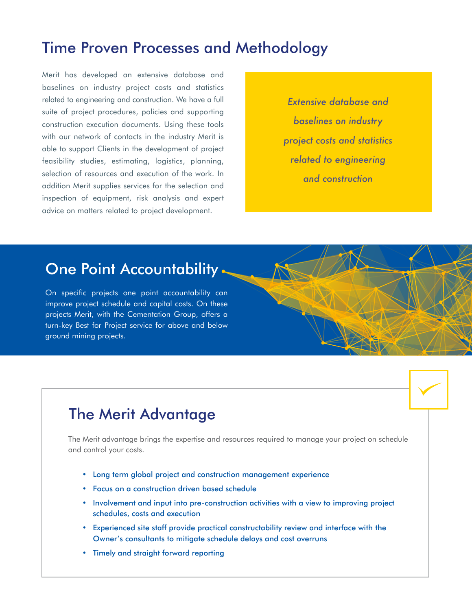#### Time Proven Processes and Methodology

Merit has developed an extensive database and baselines on industry project costs and statistics related to engineering and construction. We have a full suite of project procedures, policies and supporting construction execution documents. Using these tools with our network of contacts in the industry Merit is able to support Clients in the development of project feasibility studies, estimating, logistics, planning, selection of resources and execution of the work. In addition Merit supplies services for the selection and inspection of equipment, risk analysis and expert advice on matters related to project development.

*Extensive database and baselines on industry project costs and statistics related to engineering and construction*

### One Point Accountability

On specific projects one point accountability can improve project schedule and capital costs. On these projects Merit, with the Cementation Group, offers a turn-key Best for Project service for above and below ground mining projects.

### The Merit Advantage

The Merit advantage brings the expertise and resources required to manage your project on schedule and control your costs.

- Long term global project and construction management experience
- Focus on a construction driven based schedule
- Involvement and input into pre-construction activities with a view to improving project schedules, costs and execution
- Experienced site staff provide practical constructability review and interface with the Owner's consultants to mitigate schedule delays and cost overruns
- Timely and straight forward reporting